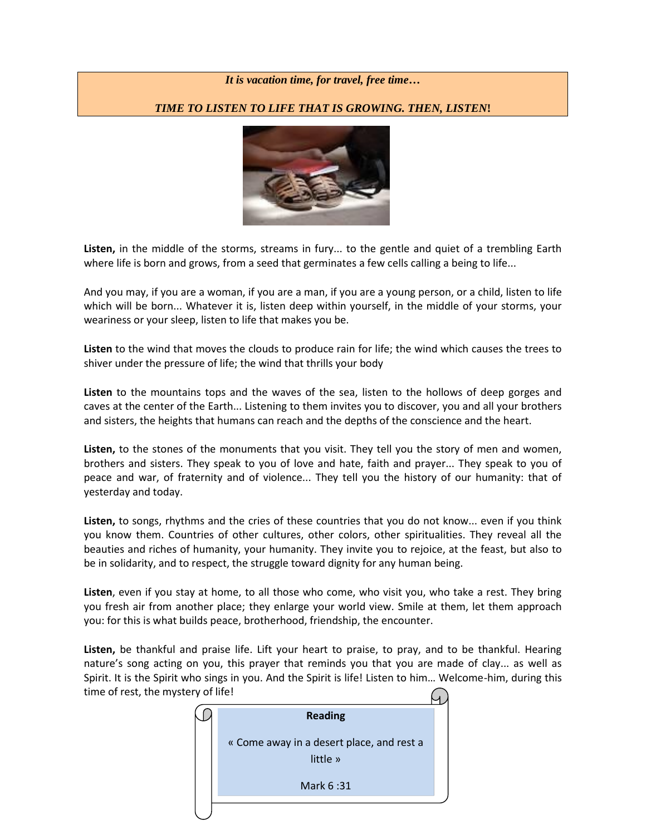## *It is vacation time, for travel, free time…*

## *TIME TO LISTEN TO LIFE THAT IS GROWING. THEN, LISTEN***!**



**Listen,** in the middle of the storms, streams in fury... to the gentle and quiet of a trembling Earth where life is born and grows, from a seed that germinates a few cells calling a being to life...

And you may, if you are a woman, if you are a man, if you are a young person, or a child, listen to life which will be born... Whatever it is, listen deep within yourself, in the middle of your storms, your weariness or your sleep, listen to life that makes you be.

**Listen** to the wind that moves the clouds to produce rain for life; the wind which causes the trees to shiver under the pressure of life; the wind that thrills your body

**Listen** to the mountains tops and the waves of the sea, listen to the hollows of deep gorges and caves at the center of the Earth... Listening to them invites you to discover, you and all your brothers and sisters, the heights that humans can reach and the depths of the conscience and the heart.

**Listen,** to the stones of the monuments that you visit. They tell you the story of men and women, brothers and sisters. They speak to you of love and hate, faith and prayer... They speak to you of peace and war, of fraternity and of violence... They tell you the history of our humanity: that of yesterday and today.

**Listen,** to songs, rhythms and the cries of these countries that you do not know... even if you think you know them. Countries of other cultures, other colors, other spiritualities. They reveal all the beauties and riches of humanity, your humanity. They invite you to rejoice, at the feast, but also to be in solidarity, and to respect, the struggle toward dignity for any human being.

**Listen**, even if you stay at home, to all those who come, who visit you, who take a rest. They bring you fresh air from another place; they enlarge your world view. Smile at them, let them approach you: for this is what builds peace, brotherhood, friendship, the encounter.

**Listen,** be thankful and praise life. Lift your heart to praise, to pray, and to be thankful. Hearing nature's song acting on you, this prayer that reminds you that you are made of clay... as well as Spirit. It is the Spirit who sings in you. And the Spirit is life! Listen to him… Welcome-him, during this time of rest, the mystery of life!